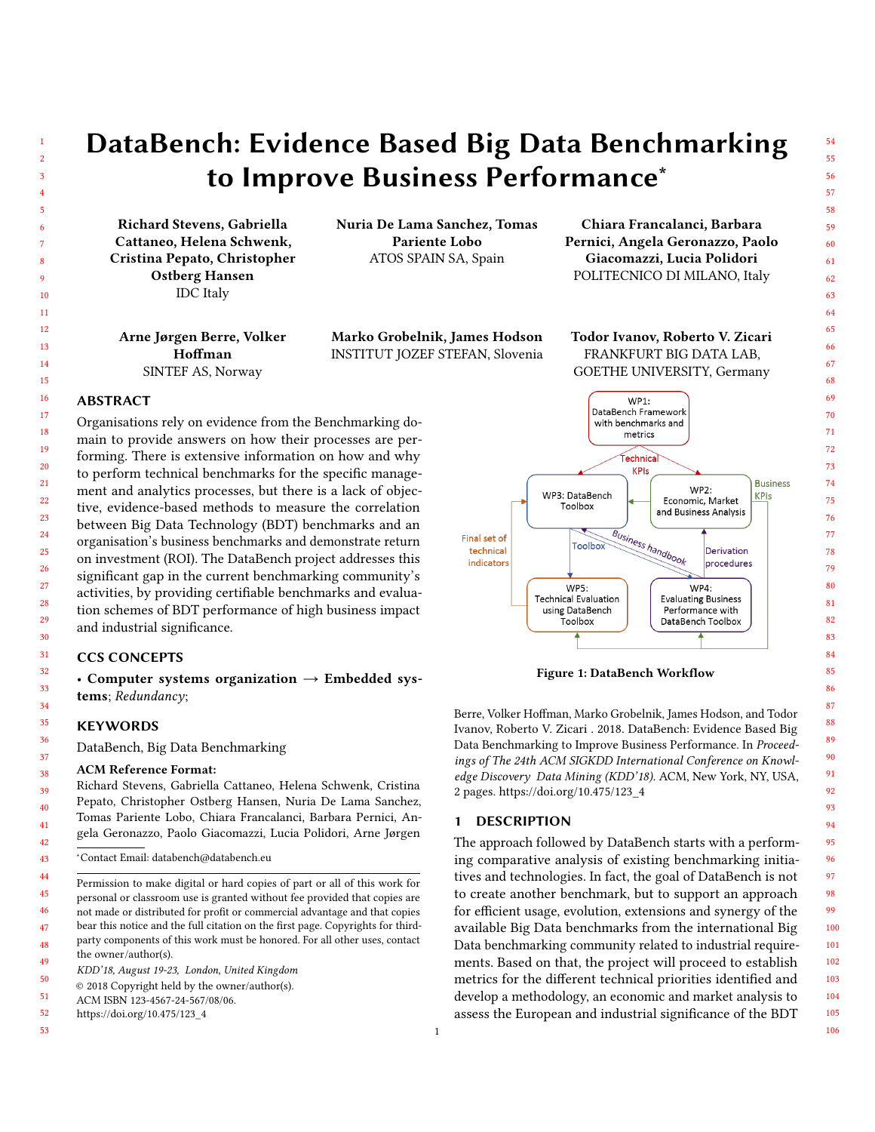# DataBench: Evidence Based Big Data Benchmarking to Improve Business Performance<sup>\*</sup>

Richard Stevens, Gabriella Cattaneo, Helena Schwenk, Cristina Pepato, Christopher Ostberg Hansen IDC Italy

Nuria De Lama Sanchez, Tomas Pariente Lobo ATOS SPAIN SA, Spain

Arne Jørgen Berre, Volker Hoffman SINTEF AS, Norway

Marko Grobelnik, James Hodson INSTITUT JOZEF STEFAN, Slovenia Todor Ivanov, Roberto V. Zicari

Chiara Francalanci, Barbara Pernici, Angela Geronazzo, Paolo Giacomazzi, Lucia Polidori POLITECNICO DI MILANO, Italy

FRANKFURT BIG DATA LAB, GOETHE UNIVERSITY, Germany

## ABSTRACT

Organisations rely on evidence from the Benchmarking domain to provide answers on how their processes are performing. There is extensive information on how and why to perform technical benchmarks for the specific management and analytics processes, but there is a lack of objective, evidence-based methods to measure the correlation between Big Data Technology (BDT) benchmarks and an organisation's business benchmarks and demonstrate return on investment (ROI). The DataBench project addresses this significant gap in the current benchmarking community's activities, by providing certifiable benchmarks and evaluation schemes of BDT performance of high business impact and industrial significance.

### CCS CONCEPTS

• Computer systems organization  $\rightarrow$  Embedded systems; Redundancy;

#### **KEYWORDS**

DataBench, Big Data Benchmarking

#### ACM Reference Format:

Richard Stevens, Gabriella Cattaneo, Helena Schwenk, Cristina Pepato, Christopher Ostberg Hansen, Nuria De Lama Sanchez, Tomas Pariente Lobo, Chiara Francalanci, Barbara Pernici, Angela Geronazzo, Paolo Giacomazzi, Lucia Polidori, Arne Jørgen

- Permission to make digital or hard copies of part or all of this work for personal or classroom use is granted without fee provided that copies are not made or distributed for profit or commercial advantage and that copies bear this notice and the full citation on the first page. Copyrights for thirdparty components of this work must be honored. For all other uses, contact the owner/author(s).
- KDD'18, August 19-23, London, United Kingdom
- © 2018 Copyright held by the owner/author(s).
- ACM ISBN 123-4567-24-567/08/06.
- [https://doi.org/10.475/123\\_4](https://doi.org/10.475/123_4)
- 

<span id="page-0-0"></span>

Figure 1: DataBench Workflow

Berre, Volker Hoffman, Marko Grobelnik, James Hodson, and Todor Ivanov, Roberto V. Zicari . 2018. DataBench: Evidence Based Big Data Benchmarking to Improve Business Performance. In Proceedings of The 24th ACM SIGKDD International Conference on Knowledge Discovery Data Mining (KDD'18). ACM, New York, NY, USA, [2](#page-1-0) pages. [https://doi.org/10.475/123\\_4](https://doi.org/10.475/123_4)

#### 1 DESCRIPTION

The approach followed by DataBench starts with a performing comparative analysis of existing benchmarking initiatives and technologies. In fact, the goal of DataBench is not to create another benchmark, but to support an approach for efficient usage, evolution, extensions and synergy of the available Big Data benchmarks from the international Big Data benchmarking community related to industrial requirements. Based on that, the project will proceed to establish metrics for the different technical priorities identified and develop a methodology, an economic and market analysis to assess the European and industrial significance of the BDT

1

<sup>∗</sup>Contact Email: databench@databench.eu